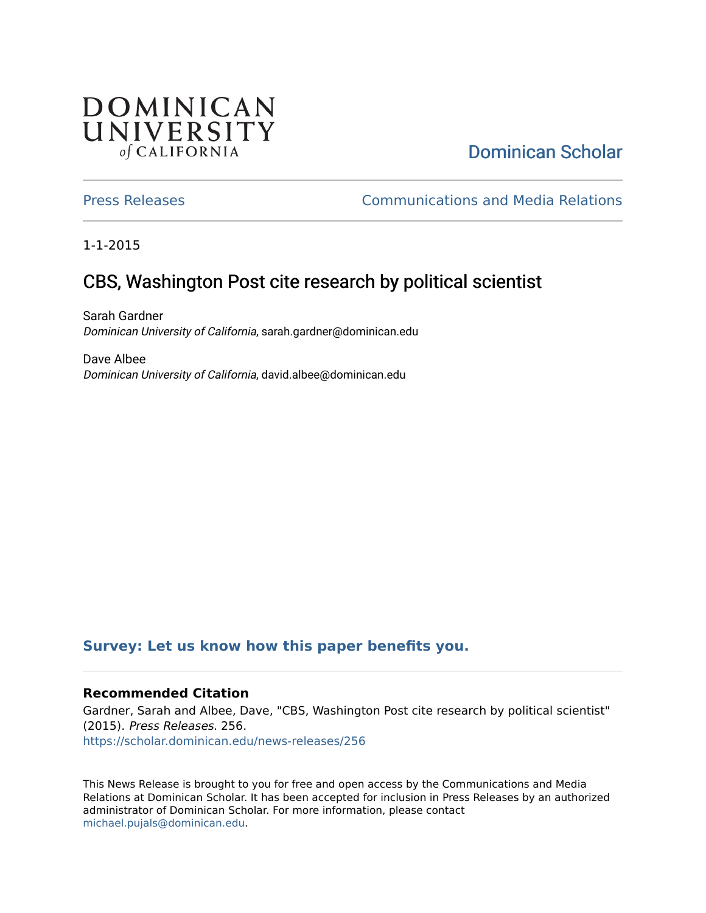## **DOMINICAN** UNIVERSITY of CALIFORNIA

# [Dominican Scholar](https://scholar.dominican.edu/)

[Press Releases](https://scholar.dominican.edu/news-releases) [Communications and Media Relations](https://scholar.dominican.edu/communications-media) 

1-1-2015

# CBS, Washington Post cite research by political scientist

Sarah Gardner Dominican University of California, sarah.gardner@dominican.edu

Dave Albee Dominican University of California, david.albee@dominican.edu

#### **[Survey: Let us know how this paper benefits you.](https://dominican.libwizard.com/dominican-scholar-feedback)**

#### **Recommended Citation**

Gardner, Sarah and Albee, Dave, "CBS, Washington Post cite research by political scientist" (2015). Press Releases. 256. [https://scholar.dominican.edu/news-releases/256](https://scholar.dominican.edu/news-releases/256?utm_source=scholar.dominican.edu%2Fnews-releases%2F256&utm_medium=PDF&utm_campaign=PDFCoverPages)

This News Release is brought to you for free and open access by the Communications and Media Relations at Dominican Scholar. It has been accepted for inclusion in Press Releases by an authorized administrator of Dominican Scholar. For more information, please contact [michael.pujals@dominican.edu.](mailto:michael.pujals@dominican.edu)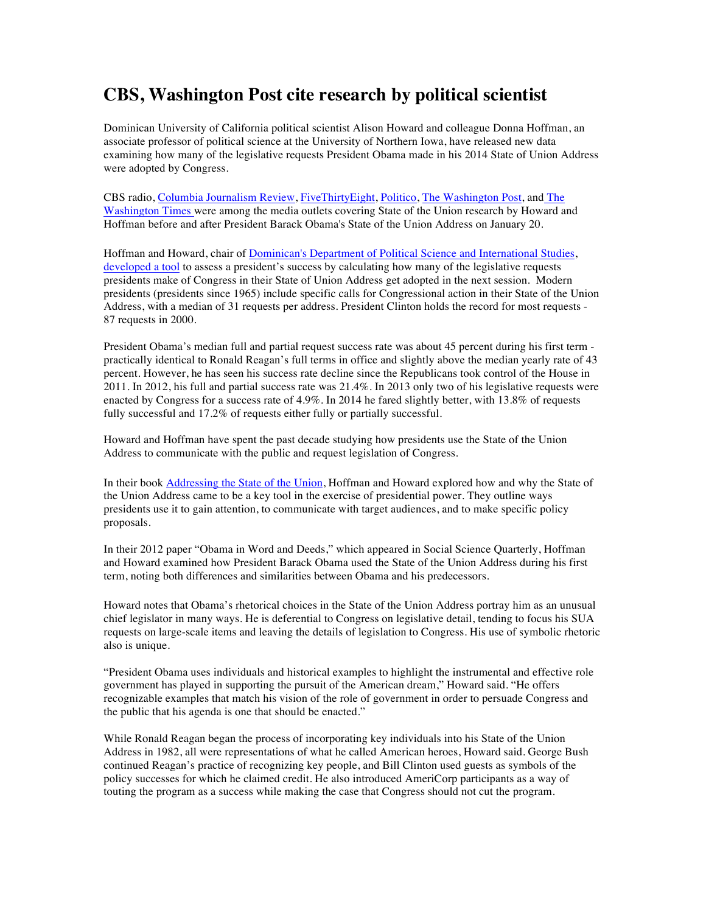### **CBS, Washington Post cite research by political scientist**

Dominican University of California political scientist Alison Howard and colleague Donna Hoffman, an associate professor of political science at the University of Northern Iowa, have released new data examining how many of the legislative requests President Obama made in his 2014 State of Union Address were adopted by Congress.

CBS radio, Columbia Journalism Review, FiveThirtyEight, Politico, The Washington Post, and The Washington Times were among the media outlets covering State of the Union research by Howard and Hoffman before and after President Barack Obama's State of the Union Address on January 20.

Hoffman and Howard, chair of **Dominican's Department of Political Science and International Studies**, developed a tool to assess a president's success by calculating how many of the legislative requests presidents make of Congress in their State of Union Address get adopted in the next session. Modern presidents (presidents since 1965) include specific calls for Congressional action in their State of the Union Address, with a median of 31 requests per address. President Clinton holds the record for most requests - 87 requests in 2000.

President Obama's median full and partial request success rate was about 45 percent during his first term practically identical to Ronald Reagan's full terms in office and slightly above the median yearly rate of 43 percent. However, he has seen his success rate decline since the Republicans took control of the House in 2011. In 2012, his full and partial success rate was 21.4%. In 2013 only two of his legislative requests were enacted by Congress for a success rate of 4.9%. In 2014 he fared slightly better, with 13.8% of requests fully successful and 17.2% of requests either fully or partially successful.

Howard and Hoffman have spent the past decade studying how presidents use the State of the Union Address to communicate with the public and request legislation of Congress.

In their book Addressing the State of the Union, Hoffman and Howard explored how and why the State of the Union Address came to be a key tool in the exercise of presidential power. They outline ways presidents use it to gain attention, to communicate with target audiences, and to make specific policy proposals.

In their 2012 paper "Obama in Word and Deeds," which appeared in Social Science Quarterly, Hoffman and Howard examined how President Barack Obama used the State of the Union Address during his first term, noting both differences and similarities between Obama and his predecessors.

Howard notes that Obama's rhetorical choices in the State of the Union Address portray him as an unusual chief legislator in many ways. He is deferential to Congress on legislative detail, tending to focus his SUA requests on large-scale items and leaving the details of legislation to Congress. His use of symbolic rhetoric also is unique.

"President Obama uses individuals and historical examples to highlight the instrumental and effective role government has played in supporting the pursuit of the American dream," Howard said. "He offers recognizable examples that match his vision of the role of government in order to persuade Congress and the public that his agenda is one that should be enacted."

While Ronald Reagan began the process of incorporating key individuals into his State of the Union Address in 1982, all were representations of what he called American heroes, Howard said. George Bush continued Reagan's practice of recognizing key people, and Bill Clinton used guests as symbols of the policy successes for which he claimed credit. He also introduced AmeriCorp participants as a way of touting the program as a success while making the case that Congress should not cut the program.